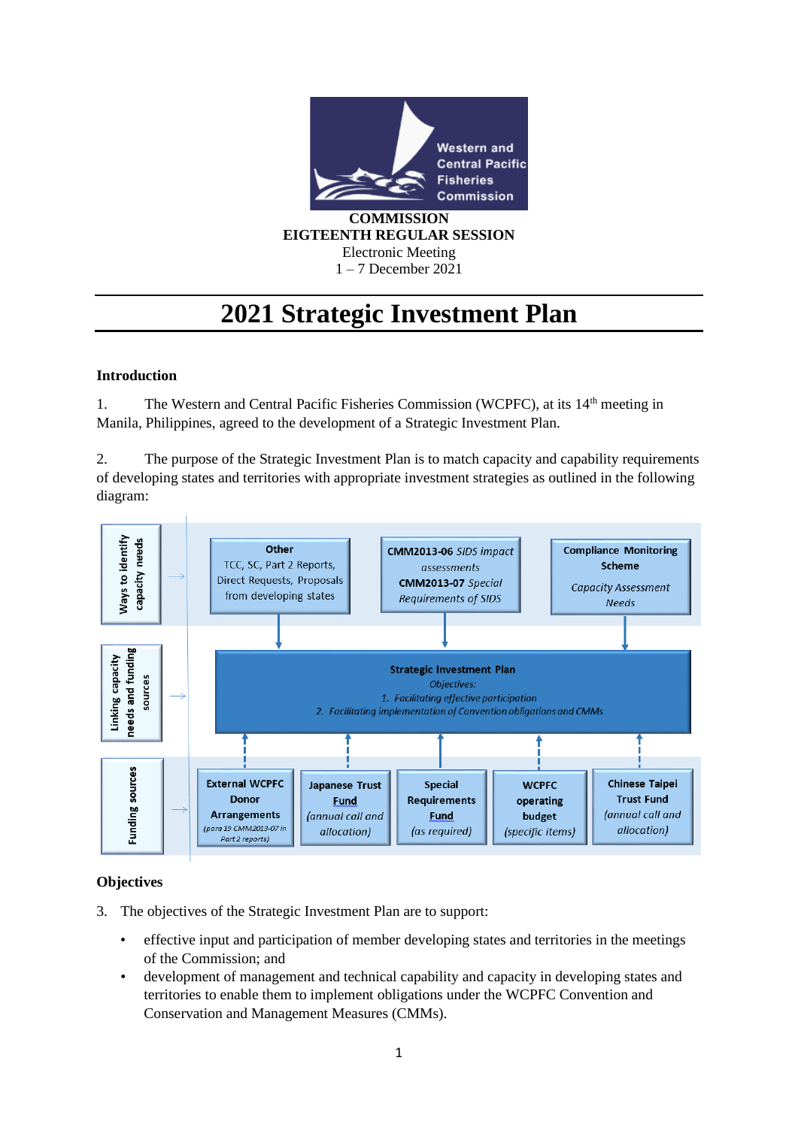

Electronic Meeting 1 – 7 December 2021

# **2021 Strategic Investment Plan**

## **Introduction**

1. The Western and Central Pacific Fisheries Commission (WCPFC), at its 14<sup>th</sup> meeting in Manila, Philippines, agreed to the development of a Strategic Investment Plan.

2. The purpose of the Strategic Investment Plan is to match capacity and capability requirements of developing states and territories with appropriate investment strategies as outlined in the following diagram:



# **Objectives**

3. The objectives of the Strategic Investment Plan are to support:

- effective input and participation of member developing states and territories in the meetings of the Commission; and
- development of management and technical capability and capacity in developing states and territories to enable them to implement obligations under the WCPFC Convention and Conservation and Management Measures (CMMs).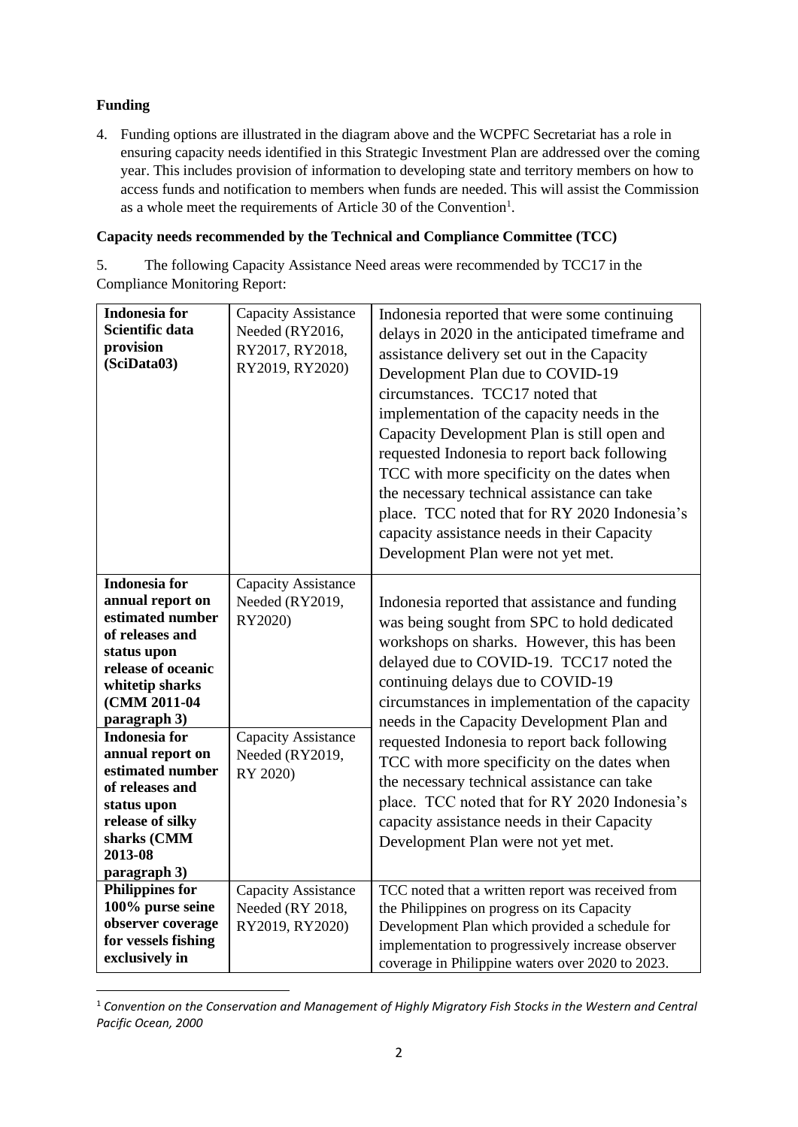# **Funding**

4. Funding options are illustrated in the diagram above and the WCPFC Secretariat has a role in ensuring capacity needs identified in this Strategic Investment Plan are addressed over the coming year. This includes provision of information to developing state and territory members on how to access funds and notification to members when funds are needed. This will assist the Commission as a whole meet the requirements of Article 30 of the Convention<sup>1</sup>.

### **Capacity needs recommended by the Technical and Compliance Committee (TCC)**

5. The following Capacity Assistance Need areas were recommended by TCC17 in the Compliance Monitoring Report:

| <b>Indonesia</b> for<br>Scientific data<br>provision<br>(SciData03)                                                                                                                             | <b>Capacity Assistance</b><br>Needed (RY2016,<br>RY2017, RY2018,<br>RY2019, RY2020)    | Indonesia reported that were some continuing<br>delays in 2020 in the anticipated timeframe and<br>assistance delivery set out in the Capacity<br>Development Plan due to COVID-19<br>circumstances. TCC17 noted that<br>implementation of the capacity needs in the<br>Capacity Development Plan is still open and<br>requested Indonesia to report back following<br>TCC with more specificity on the dates when<br>the necessary technical assistance can take<br>place. TCC noted that for RY 2020 Indonesia's<br>capacity assistance needs in their Capacity<br>Development Plan were not yet met. |
|-------------------------------------------------------------------------------------------------------------------------------------------------------------------------------------------------|----------------------------------------------------------------------------------------|---------------------------------------------------------------------------------------------------------------------------------------------------------------------------------------------------------------------------------------------------------------------------------------------------------------------------------------------------------------------------------------------------------------------------------------------------------------------------------------------------------------------------------------------------------------------------------------------------------|
| <b>Indonesia</b> for<br>annual report on<br>estimated number<br>of releases and<br>status upon<br>release of oceanic<br>whitetip sharks<br>(CMM 2011-04<br>paragraph 3)<br><b>Indonesia</b> for | <b>Capacity Assistance</b><br>Needed (RY2019,<br>RY2020)<br><b>Capacity Assistance</b> | Indonesia reported that assistance and funding<br>was being sought from SPC to hold dedicated<br>workshops on sharks. However, this has been<br>delayed due to COVID-19. TCC17 noted the<br>continuing delays due to COVID-19<br>circumstances in implementation of the capacity<br>needs in the Capacity Development Plan and                                                                                                                                                                                                                                                                          |
| annual report on<br>estimated number<br>of releases and<br>status upon<br>release of silky<br>sharks (CMM<br>2013-08<br>paragraph 3)                                                            | Needed (RY2019,<br>RY 2020)                                                            | requested Indonesia to report back following<br>TCC with more specificity on the dates when<br>the necessary technical assistance can take<br>place. TCC noted that for RY 2020 Indonesia's<br>capacity assistance needs in their Capacity<br>Development Plan were not yet met.                                                                                                                                                                                                                                                                                                                        |
| <b>Philippines for</b><br>100% purse seine<br>observer coverage<br>for vessels fishing<br>exclusively in                                                                                        | <b>Capacity Assistance</b><br>Needed (RY 2018,<br>RY2019, RY2020)                      | TCC noted that a written report was received from<br>the Philippines on progress on its Capacity<br>Development Plan which provided a schedule for<br>implementation to progressively increase observer<br>coverage in Philippine waters over 2020 to 2023.                                                                                                                                                                                                                                                                                                                                             |

<sup>1</sup> *Convention on the Conservation and Management of Highly Migratory Fish Stocks in the Western and Central Pacific Ocean, 2000*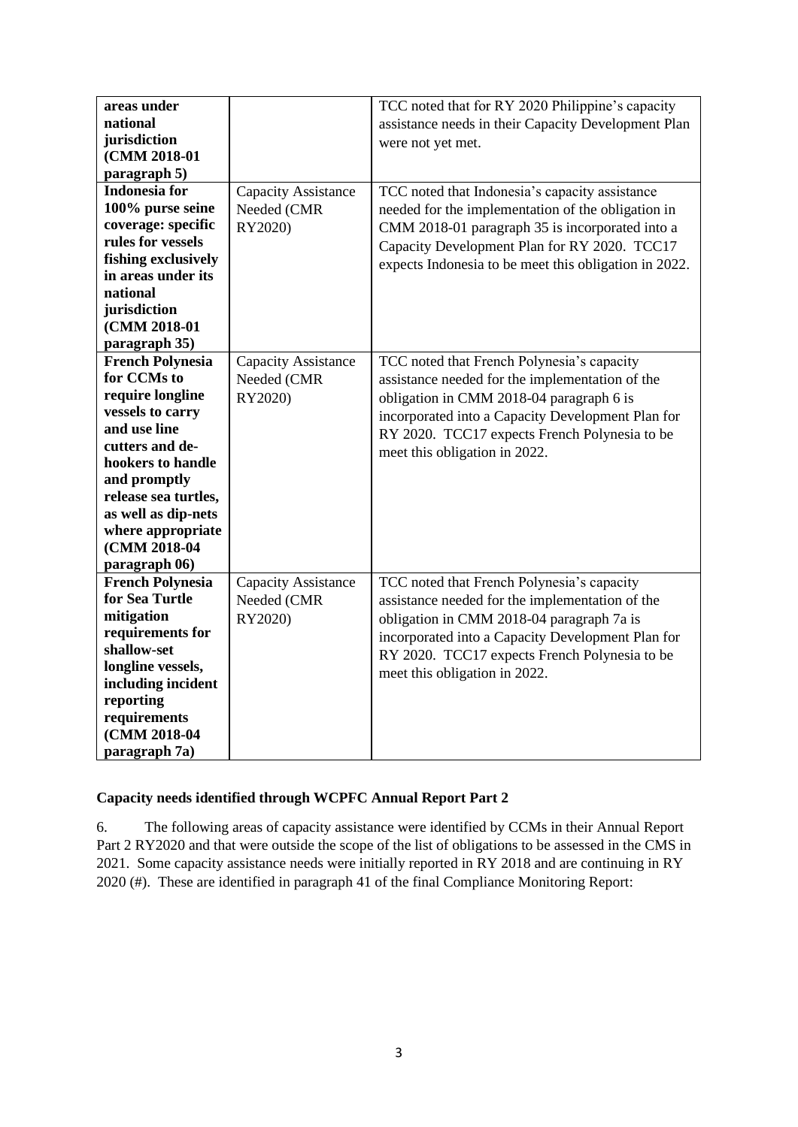| areas under<br>national<br>jurisdiction<br>(CMM 2018-01<br>paragraph 5)<br><b>Indonesia</b> for<br>100% purse seine<br>coverage: specific<br>rules for vessels<br>fishing exclusively<br>in areas under its<br>national<br>jurisdiction<br>(CMM 2018-01                      | <b>Capacity Assistance</b><br>Needed (CMR<br>RY2020) | TCC noted that for RY 2020 Philippine's capacity<br>assistance needs in their Capacity Development Plan<br>were not yet met.<br>TCC noted that Indonesia's capacity assistance<br>needed for the implementation of the obligation in<br>CMM 2018-01 paragraph 35 is incorporated into a<br>Capacity Development Plan for RY 2020. TCC17<br>expects Indonesia to be meet this obligation in 2022. |
|------------------------------------------------------------------------------------------------------------------------------------------------------------------------------------------------------------------------------------------------------------------------------|------------------------------------------------------|--------------------------------------------------------------------------------------------------------------------------------------------------------------------------------------------------------------------------------------------------------------------------------------------------------------------------------------------------------------------------------------------------|
| paragraph 35)<br><b>French Polynesia</b><br>for CCMs to<br>require longline<br>vessels to carry<br>and use line<br>cutters and de-<br>hookers to handle<br>and promptly<br>release sea turtles,<br>as well as dip-nets<br>where appropriate<br>(CMM 2018-04<br>paragraph 06) | <b>Capacity Assistance</b><br>Needed (CMR<br>RY2020) | TCC noted that French Polynesia's capacity<br>assistance needed for the implementation of the<br>obligation in CMM 2018-04 paragraph 6 is<br>incorporated into a Capacity Development Plan for<br>RY 2020. TCC17 expects French Polynesia to be<br>meet this obligation in 2022.                                                                                                                 |
| <b>French Polynesia</b><br>for Sea Turtle<br>mitigation<br>requirements for<br>shallow-set<br>longline vessels,<br>including incident<br>reporting<br>requirements<br>(CMM 2018-04<br>paragraph 7a)                                                                          | <b>Capacity Assistance</b><br>Needed (CMR<br>RY2020) | TCC noted that French Polynesia's capacity<br>assistance needed for the implementation of the<br>obligation in CMM 2018-04 paragraph 7a is<br>incorporated into a Capacity Development Plan for<br>RY 2020. TCC17 expects French Polynesia to be<br>meet this obligation in 2022.                                                                                                                |

### **Capacity needs identified through WCPFC Annual Report Part 2**

6. The following areas of capacity assistance were identified by CCMs in their Annual Report Part 2 RY2020 and that were outside the scope of the list of obligations to be assessed in the CMS in 2021. Some capacity assistance needs were initially reported in RY 2018 and are continuing in RY 2020 (#). These are identified in paragraph 41 of the final Compliance Monitoring Report: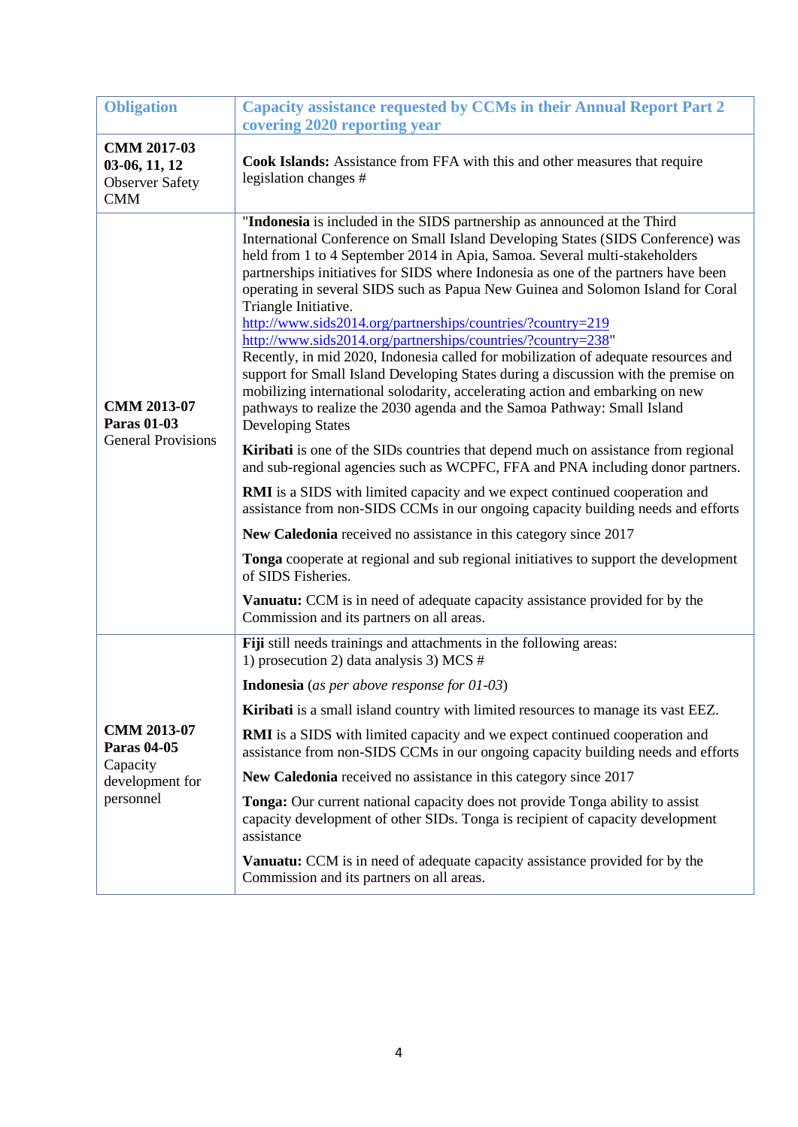| <b>Obligation</b>                                                      | Capacity assistance requested by CCMs in their Annual Report Part 2<br>covering 2020 reporting year                                                                                                                                                                                                                                                                                                                                                                                                                                                                                                                                                                                                                                                                                                                                                                                                                                                                                                                                                                                                                                                                                                                                                                                                                                                                                                                                                                                                                                                                                                                  |  |
|------------------------------------------------------------------------|----------------------------------------------------------------------------------------------------------------------------------------------------------------------------------------------------------------------------------------------------------------------------------------------------------------------------------------------------------------------------------------------------------------------------------------------------------------------------------------------------------------------------------------------------------------------------------------------------------------------------------------------------------------------------------------------------------------------------------------------------------------------------------------------------------------------------------------------------------------------------------------------------------------------------------------------------------------------------------------------------------------------------------------------------------------------------------------------------------------------------------------------------------------------------------------------------------------------------------------------------------------------------------------------------------------------------------------------------------------------------------------------------------------------------------------------------------------------------------------------------------------------------------------------------------------------------------------------------------------------|--|
| CMM 2017-03<br>03-06, 11, 12<br><b>Observer Safety</b><br><b>CMM</b>   | Cook Islands: Assistance from FFA with this and other measures that require<br>legislation changes #                                                                                                                                                                                                                                                                                                                                                                                                                                                                                                                                                                                                                                                                                                                                                                                                                                                                                                                                                                                                                                                                                                                                                                                                                                                                                                                                                                                                                                                                                                                 |  |
| CMM 2013-07<br><b>Paras 01-03</b><br><b>General Provisions</b>         | "Indonesia is included in the SIDS partnership as announced at the Third<br>International Conference on Small Island Developing States (SIDS Conference) was<br>held from 1 to 4 September 2014 in Apia, Samoa. Several multi-stakeholders<br>partnerships initiatives for SIDS where Indonesia as one of the partners have been<br>operating in several SIDS such as Papua New Guinea and Solomon Island for Coral<br>Triangle Initiative.<br>http://www.sids2014.org/partnerships/countries/?country=219<br>http://www.sids2014.org/partnerships/countries/?country=238"<br>Recently, in mid 2020, Indonesia called for mobilization of adequate resources and<br>support for Small Island Developing States during a discussion with the premise on<br>mobilizing international solodarity, accelerating action and embarking on new<br>pathways to realize the 2030 agenda and the Samoa Pathway: Small Island<br><b>Developing States</b><br>Kiribati is one of the SIDs countries that depend much on assistance from regional<br>and sub-regional agencies such as WCPFC, FFA and PNA including donor partners.<br><b>RMI</b> is a SIDS with limited capacity and we expect continued cooperation and<br>assistance from non-SIDS CCMs in our ongoing capacity building needs and efforts<br>New Caledonia received no assistance in this category since 2017<br><b>Tonga</b> cooperate at regional and sub regional initiatives to support the development<br>of SIDS Fisheries.<br>Vanuatu: CCM is in need of adequate capacity assistance provided for by the<br>Commission and its partners on all areas. |  |
|                                                                        | Fiji still needs trainings and attachments in the following areas:<br>1) prosecution 2) data analysis 3) MCS #                                                                                                                                                                                                                                                                                                                                                                                                                                                                                                                                                                                                                                                                                                                                                                                                                                                                                                                                                                                                                                                                                                                                                                                                                                                                                                                                                                                                                                                                                                       |  |
|                                                                        | <b>Indonesia</b> (as per above response for $01-03$ )                                                                                                                                                                                                                                                                                                                                                                                                                                                                                                                                                                                                                                                                                                                                                                                                                                                                                                                                                                                                                                                                                                                                                                                                                                                                                                                                                                                                                                                                                                                                                                |  |
| CMM 2013-07<br>Paras 04-05<br>Capacity<br>development for<br>personnel | Kiribati is a small island country with limited resources to manage its vast EEZ.                                                                                                                                                                                                                                                                                                                                                                                                                                                                                                                                                                                                                                                                                                                                                                                                                                                                                                                                                                                                                                                                                                                                                                                                                                                                                                                                                                                                                                                                                                                                    |  |
|                                                                        | <b>RMI</b> is a SIDS with limited capacity and we expect continued cooperation and<br>assistance from non-SIDS CCMs in our ongoing capacity building needs and efforts                                                                                                                                                                                                                                                                                                                                                                                                                                                                                                                                                                                                                                                                                                                                                                                                                                                                                                                                                                                                                                                                                                                                                                                                                                                                                                                                                                                                                                               |  |
|                                                                        | New Caledonia received no assistance in this category since 2017                                                                                                                                                                                                                                                                                                                                                                                                                                                                                                                                                                                                                                                                                                                                                                                                                                                                                                                                                                                                                                                                                                                                                                                                                                                                                                                                                                                                                                                                                                                                                     |  |
|                                                                        | Tonga: Our current national capacity does not provide Tonga ability to assist<br>capacity development of other SIDs. Tonga is recipient of capacity development<br>assistance                                                                                                                                                                                                                                                                                                                                                                                                                                                                                                                                                                                                                                                                                                                                                                                                                                                                                                                                                                                                                                                                                                                                                                                                                                                                                                                                                                                                                                        |  |
|                                                                        | Vanuatu: CCM is in need of adequate capacity assistance provided for by the<br>Commission and its partners on all areas.                                                                                                                                                                                                                                                                                                                                                                                                                                                                                                                                                                                                                                                                                                                                                                                                                                                                                                                                                                                                                                                                                                                                                                                                                                                                                                                                                                                                                                                                                             |  |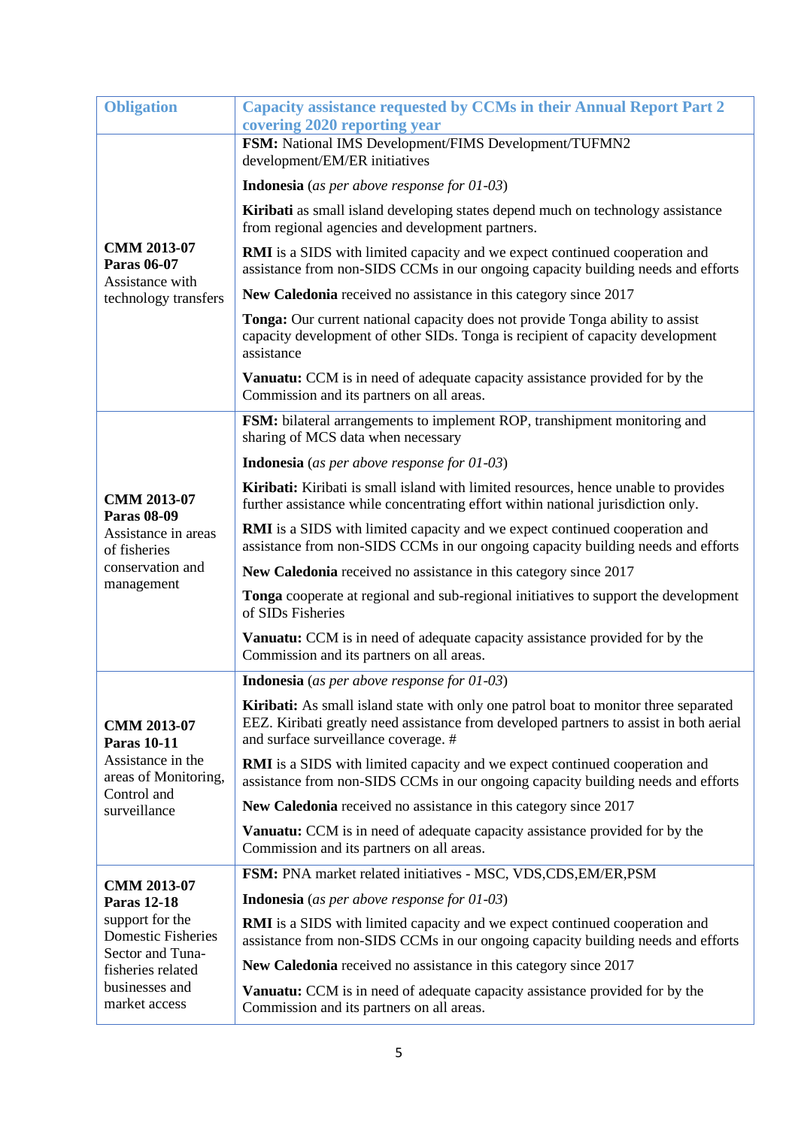| <b>Obligation</b>                                                                                             | <b>Capacity assistance requested by CCMs in their Annual Report Part 2</b><br>covering 2020 reporting year                                                                                                             |  |  |
|---------------------------------------------------------------------------------------------------------------|------------------------------------------------------------------------------------------------------------------------------------------------------------------------------------------------------------------------|--|--|
|                                                                                                               | FSM: National IMS Development/FIMS Development/TUFMN2<br>development/EM/ER initiatives                                                                                                                                 |  |  |
|                                                                                                               | <b>Indonesia</b> (as per above response for $01-03$ )                                                                                                                                                                  |  |  |
| CMM 2013-07<br>Paras 06-07                                                                                    | Kiribati as small island developing states depend much on technology assistance<br>from regional agencies and development partners.                                                                                    |  |  |
|                                                                                                               | <b>RMI</b> is a SIDS with limited capacity and we expect continued cooperation and<br>assistance from non-SIDS CCMs in our ongoing capacity building needs and efforts                                                 |  |  |
| Assistance with<br>technology transfers                                                                       | New Caledonia received no assistance in this category since 2017                                                                                                                                                       |  |  |
|                                                                                                               | <b>Tonga:</b> Our current national capacity does not provide Tonga ability to assist<br>capacity development of other SIDs. Tonga is recipient of capacity development<br>assistance                                   |  |  |
|                                                                                                               | <b>Vanuatu:</b> CCM is in need of adequate capacity assistance provided for by the<br>Commission and its partners on all areas.                                                                                        |  |  |
|                                                                                                               | FSM: bilateral arrangements to implement ROP, transhipment monitoring and<br>sharing of MCS data when necessary                                                                                                        |  |  |
|                                                                                                               | <b>Indonesia</b> (as per above response for $01-03$ )                                                                                                                                                                  |  |  |
| CMM 2013-07<br><b>Paras 08-09</b><br>Assistance in areas<br>of fisheries                                      | Kiribati: Kiribati is small island with limited resources, hence unable to provides<br>further assistance while concentrating effort within national jurisdiction only.                                                |  |  |
|                                                                                                               | RMI is a SIDS with limited capacity and we expect continued cooperation and<br>assistance from non-SIDS CCMs in our ongoing capacity building needs and efforts                                                        |  |  |
| conservation and                                                                                              | New Caledonia received no assistance in this category since 2017                                                                                                                                                       |  |  |
| management                                                                                                    | Tonga cooperate at regional and sub-regional initiatives to support the development<br>of SIDs Fisheries                                                                                                               |  |  |
|                                                                                                               | <b>Vanuatu:</b> CCM is in need of adequate capacity assistance provided for by the<br>Commission and its partners on all areas.                                                                                        |  |  |
|                                                                                                               | <b>Indonesia</b> (as per above response for $01-03$ )                                                                                                                                                                  |  |  |
| CMM 2013-07<br><b>Paras 10-11</b><br>Assistance in the<br>areas of Monitoring,<br>Control and<br>surveillance | Kiribati: As small island state with only one patrol boat to monitor three separated<br>EEZ. Kiribati greatly need assistance from developed partners to assist in both aerial<br>and surface surveillance coverage. # |  |  |
|                                                                                                               | RMI is a SIDS with limited capacity and we expect continued cooperation and<br>assistance from non-SIDS CCMs in our ongoing capacity building needs and efforts                                                        |  |  |
|                                                                                                               | New Caledonia received no assistance in this category since 2017                                                                                                                                                       |  |  |
|                                                                                                               | <b>Vanuatu:</b> CCM is in need of adequate capacity assistance provided for by the<br>Commission and its partners on all areas.                                                                                        |  |  |
|                                                                                                               | FSM: PNA market related initiatives - MSC, VDS, CDS, EM/ER, PSM                                                                                                                                                        |  |  |
| CMM 2013-07<br><b>Paras 12-18</b>                                                                             | <b>Indonesia</b> (as per above response for $01-03$ )                                                                                                                                                                  |  |  |
| support for the<br><b>Domestic Fisheries</b>                                                                  | RMI is a SIDS with limited capacity and we expect continued cooperation and<br>assistance from non-SIDS CCMs in our ongoing capacity building needs and efforts                                                        |  |  |
| Sector and Tuna-<br>fisheries related                                                                         | New Caledonia received no assistance in this category since 2017                                                                                                                                                       |  |  |
| businesses and<br>market access                                                                               | Vanuatu: CCM is in need of adequate capacity assistance provided for by the<br>Commission and its partners on all areas.                                                                                               |  |  |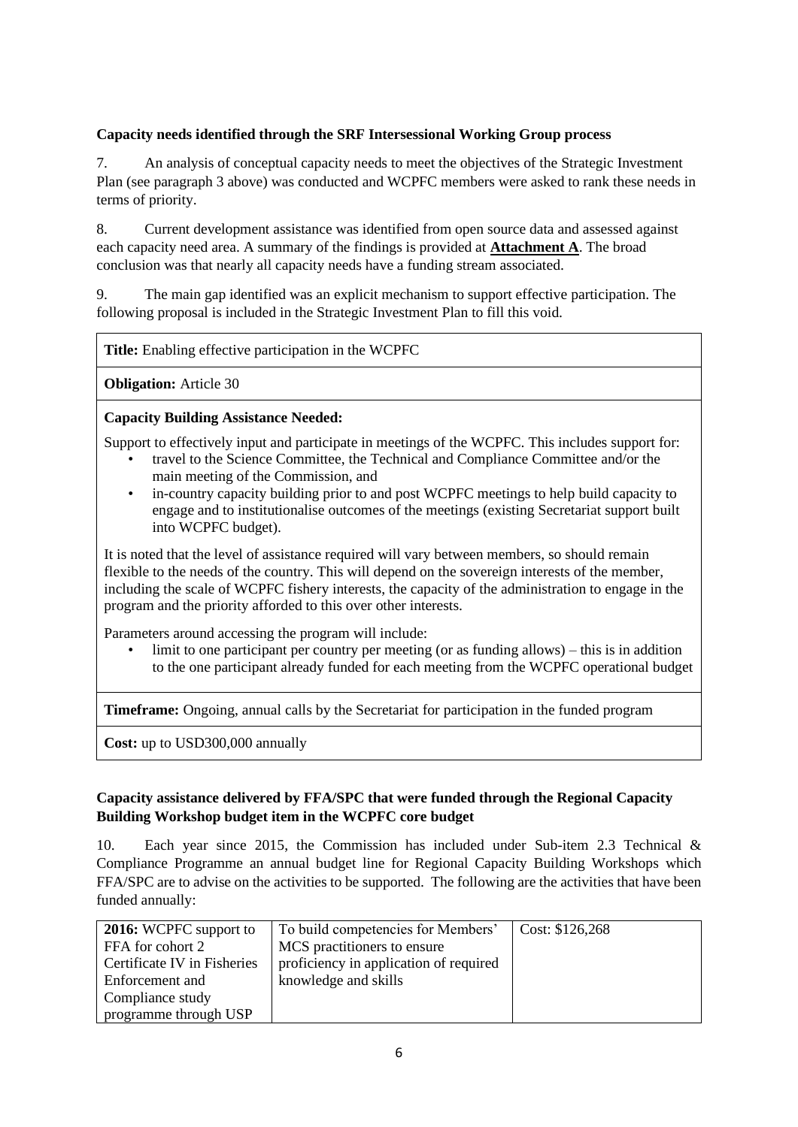# **Capacity needs identified through the SRF Intersessional Working Group process**

7. An analysis of conceptual capacity needs to meet the objectives of the Strategic Investment Plan (see paragraph 3 above) was conducted and WCPFC members were asked to rank these needs in terms of priority.

8. Current development assistance was identified from open source data and assessed against each capacity need area. A summary of the findings is provided at **Attachment A**. The broad conclusion was that nearly all capacity needs have a funding stream associated.

9. The main gap identified was an explicit mechanism to support effective participation. The following proposal is included in the Strategic Investment Plan to fill this void.

## **Title:** Enabling effective participation in the WCPFC

**Obligation:** Article 30

### **Capacity Building Assistance Needed:**

Support to effectively input and participate in meetings of the WCPFC. This includes support for:

- travel to the Science Committee, the Technical and Compliance Committee and/or the main meeting of the Commission, and
- in-country capacity building prior to and post WCPFC meetings to help build capacity to engage and to institutionalise outcomes of the meetings (existing Secretariat support built into WCPFC budget).

It is noted that the level of assistance required will vary between members, so should remain flexible to the needs of the country. This will depend on the sovereign interests of the member, including the scale of WCPFC fishery interests, the capacity of the administration to engage in the program and the priority afforded to this over other interests.

Parameters around accessing the program will include:

limit to one participant per country per meeting (or as funding allows) – this is in addition to the one participant already funded for each meeting from the WCPFC operational budget

**Timeframe:** Ongoing, annual calls by the Secretariat for participation in the funded program

**Cost:** up to USD300,000 annually

#### **Capacity assistance delivered by FFA/SPC that were funded through the Regional Capacity Building Workshop budget item in the WCPFC core budget**

10. Each year since 2015, the Commission has included under Sub-item 2.3 Technical & Compliance Programme an annual budget line for Regional Capacity Building Workshops which FFA/SPC are to advise on the activities to be supported. The following are the activities that have been funded annually:

| 2016: WCPFC support to      | To build competencies for Members'     | Cost: \$126,268 |
|-----------------------------|----------------------------------------|-----------------|
| FFA for cohort 2            | MCS practitioners to ensure            |                 |
| Certificate IV in Fisheries | proficiency in application of required |                 |
| Enforcement and             | knowledge and skills                   |                 |
| Compliance study            |                                        |                 |
| programme through USP       |                                        |                 |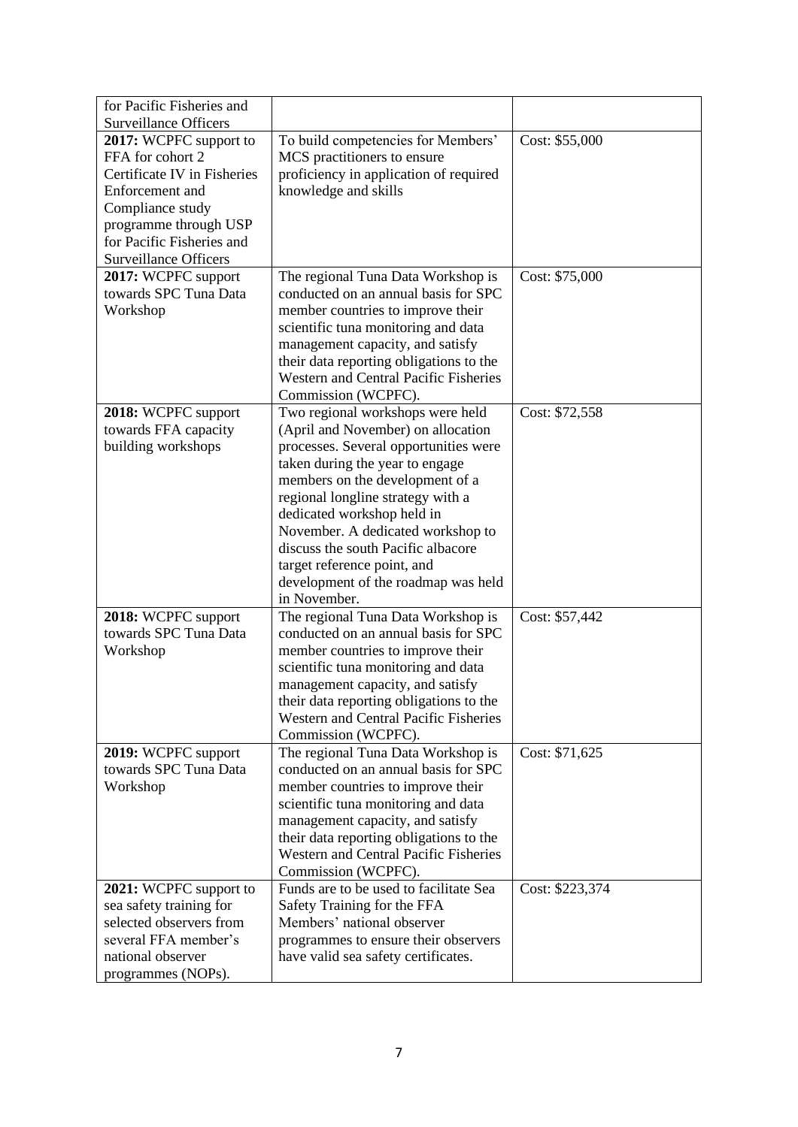| for Pacific Fisheries and    |                                              |                 |
|------------------------------|----------------------------------------------|-----------------|
| <b>Surveillance Officers</b> |                                              |                 |
| 2017: WCPFC support to       | To build competencies for Members'           | Cost: \$55,000  |
| FFA for cohort 2             | MCS practitioners to ensure                  |                 |
| Certificate IV in Fisheries  | proficiency in application of required       |                 |
| Enforcement and              | knowledge and skills                         |                 |
| Compliance study             |                                              |                 |
| programme through USP        |                                              |                 |
| for Pacific Fisheries and    |                                              |                 |
| <b>Surveillance Officers</b> |                                              |                 |
| 2017: WCPFC support          | The regional Tuna Data Workshop is           | Cost: \$75,000  |
| towards SPC Tuna Data        | conducted on an annual basis for SPC         |                 |
| Workshop                     | member countries to improve their            |                 |
|                              | scientific tuna monitoring and data          |                 |
|                              | management capacity, and satisfy             |                 |
|                              | their data reporting obligations to the      |                 |
|                              | <b>Western and Central Pacific Fisheries</b> |                 |
|                              | Commission (WCPFC).                          |                 |
| 2018: WCPFC support          | Two regional workshops were held             | Cost: \$72,558  |
| towards FFA capacity         | (April and November) on allocation           |                 |
| building workshops           | processes. Several opportunities were        |                 |
|                              | taken during the year to engage              |                 |
|                              | members on the development of a              |                 |
|                              | regional longline strategy with a            |                 |
|                              | dedicated workshop held in                   |                 |
|                              | November. A dedicated workshop to            |                 |
|                              | discuss the south Pacific albacore           |                 |
|                              | target reference point, and                  |                 |
|                              | development of the roadmap was held          |                 |
|                              | in November.                                 |                 |
| 2018: WCPFC support          | The regional Tuna Data Workshop is           | Cost: \$57,442  |
| towards SPC Tuna Data        | conducted on an annual basis for SPC         |                 |
| Workshop                     | member countries to improve their            |                 |
|                              | scientific tuna monitoring and data          |                 |
|                              | management capacity, and satisfy             |                 |
|                              | their data reporting obligations to the      |                 |
|                              | <b>Western and Central Pacific Fisheries</b> |                 |
|                              | Commission (WCPFC).                          |                 |
| 2019: WCPFC support          | The regional Tuna Data Workshop is           | Cost: \$71,625  |
| towards SPC Tuna Data        | conducted on an annual basis for SPC         |                 |
| Workshop                     | member countries to improve their            |                 |
|                              | scientific tuna monitoring and data          |                 |
|                              | management capacity, and satisfy             |                 |
|                              | their data reporting obligations to the      |                 |
|                              | <b>Western and Central Pacific Fisheries</b> |                 |
|                              | Commission (WCPFC).                          |                 |
| 2021: WCPFC support to       | Funds are to be used to facilitate Sea       | Cost: \$223,374 |
| sea safety training for      | Safety Training for the FFA                  |                 |
| selected observers from      | Members' national observer                   |                 |
| several FFA member's         | programmes to ensure their observers         |                 |
| national observer            | have valid sea safety certificates.          |                 |
| programmes (NOPs).           |                                              |                 |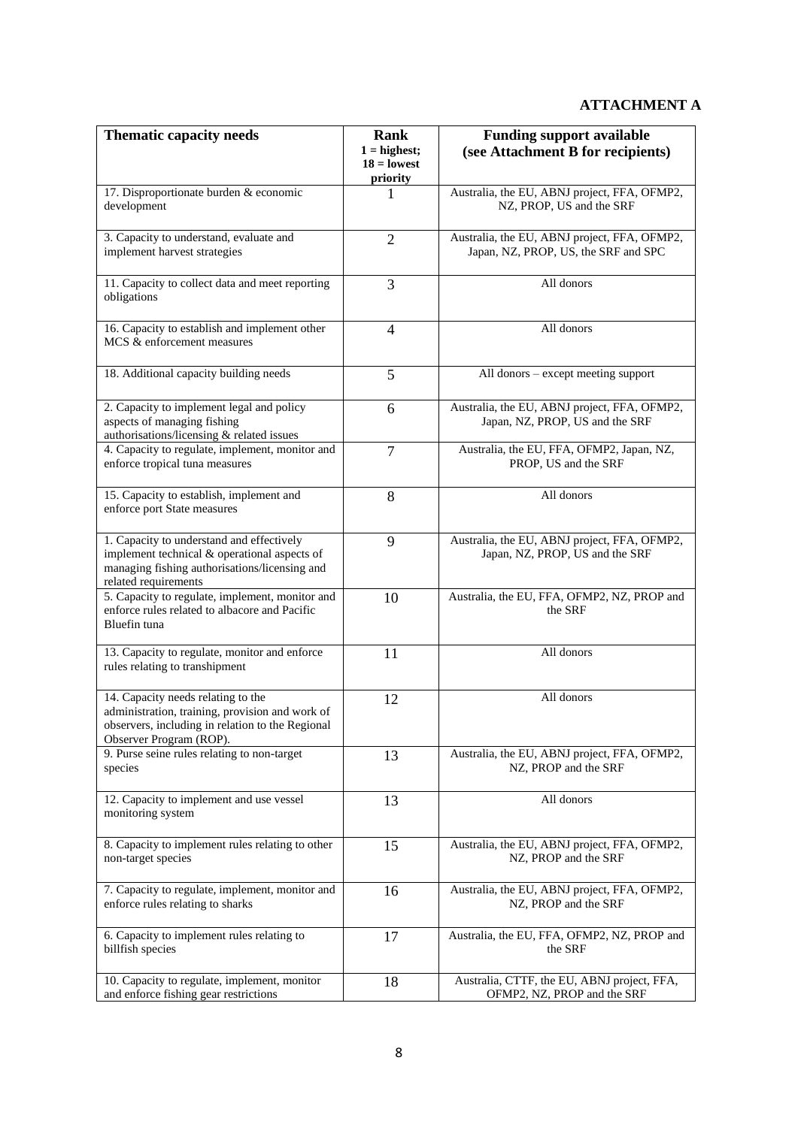## **ATTACHMENT A**

| <b>Thematic capacity needs</b>                                                                                                                                       | Rank<br>$1 = highest;$    | <b>Funding support available</b>                                                     |
|----------------------------------------------------------------------------------------------------------------------------------------------------------------------|---------------------------|--------------------------------------------------------------------------------------|
|                                                                                                                                                                      | $18 =$ lowest<br>priority | (see Attachment B for recipients)                                                    |
| 17. Disproportionate burden & economic                                                                                                                               |                           | Australia, the EU, ABNJ project, FFA, OFMP2,                                         |
| development                                                                                                                                                          |                           | NZ, PROP, US and the SRF                                                             |
| 3. Capacity to understand, evaluate and<br>implement harvest strategies                                                                                              | $\overline{2}$            | Australia, the EU, ABNJ project, FFA, OFMP2,<br>Japan, NZ, PROP, US, the SRF and SPC |
| 11. Capacity to collect data and meet reporting<br>obligations                                                                                                       | 3                         | All donors                                                                           |
| 16. Capacity to establish and implement other<br>MCS & enforcement measures                                                                                          | 4                         | All donors                                                                           |
| 18. Additional capacity building needs                                                                                                                               | 5                         | All donors - except meeting support                                                  |
| 2. Capacity to implement legal and policy<br>aspects of managing fishing<br>authorisations/licensing & related issues                                                | 6                         | Australia, the EU, ABNJ project, FFA, OFMP2,<br>Japan, NZ, PROP, US and the SRF      |
| 4. Capacity to regulate, implement, monitor and<br>enforce tropical tuna measures                                                                                    | $\overline{7}$            | Australia, the EU, FFA, OFMP2, Japan, NZ,<br>PROP, US and the SRF                    |
| 15. Capacity to establish, implement and<br>enforce port State measures                                                                                              | 8                         | All donors                                                                           |
| 1. Capacity to understand and effectively<br>implement technical & operational aspects of<br>managing fishing authorisations/licensing and<br>related requirements   | 9                         | Australia, the EU, ABNJ project, FFA, OFMP2,<br>Japan, NZ, PROP, US and the SRF      |
| 5. Capacity to regulate, implement, monitor and<br>enforce rules related to albacore and Pacific<br>Bluefin tuna                                                     | 10                        | Australia, the EU, FFA, OFMP2, NZ, PROP and<br>the SRF                               |
| 13. Capacity to regulate, monitor and enforce<br>rules relating to transhipment                                                                                      | 11                        | All donors                                                                           |
| 14. Capacity needs relating to the<br>administration, training, provision and work of<br>observers, including in relation to the Regional<br>Observer Program (ROP). | 12                        | All donors                                                                           |
| 9. Purse seine rules relating to non-target<br>species                                                                                                               | 13                        | Australia, the EU, ABNJ project, FFA, OFMP2,<br>NZ, PROP and the SRF                 |
| 12. Capacity to implement and use vessel<br>monitoring system                                                                                                        | 13                        | All donors                                                                           |
| 8. Capacity to implement rules relating to other<br>non-target species                                                                                               | 15                        | Australia, the EU, ABNJ project, FFA, OFMP2,<br>NZ, PROP and the SRF                 |
| 7. Capacity to regulate, implement, monitor and<br>enforce rules relating to sharks                                                                                  | 16                        | Australia, the EU, ABNJ project, FFA, OFMP2,<br>NZ, PROP and the SRF                 |
| 6. Capacity to implement rules relating to<br>billfish species                                                                                                       | 17                        | Australia, the EU, FFA, OFMP2, NZ, PROP and<br>the SRF                               |
| 10. Capacity to regulate, implement, monitor<br>and enforce fishing gear restrictions                                                                                | 18                        | Australia, CTTF, the EU, ABNJ project, FFA,<br>OFMP2, NZ, PROP and the SRF           |